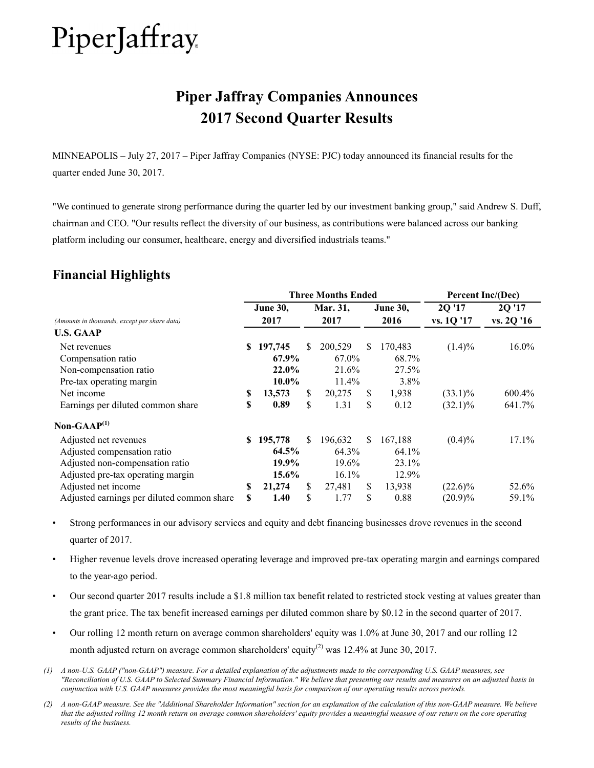# **Piper Jaffray Companies Announces 2017 Second Quarter Results**

MINNEAPOLIS – July 27, 2017 – Piper Jaffray Companies (NYSE: PJC) today announced its financial results for the quarter ended June 30, 2017.

"We continued to generate strong performance during the quarter led by our investment banking group," said Andrew S. Duff, chairman and CEO. "Our results reflect the diversity of our business, as contributions were balanced across our banking platform including our consumer, healthcare, energy and diversified industrials teams."

# **Financial Highlights**

|                                               |    |                 |     | <b>Three Months Ended</b> |     |                 | Percent Inc/(Dec) |            |  |
|-----------------------------------------------|----|-----------------|-----|---------------------------|-----|-----------------|-------------------|------------|--|
|                                               |    | <b>June 30,</b> |     | Mar. 31,                  |     | <b>June 30,</b> | 2Q'17             | 2Q'17      |  |
| (Amounts in thousands, except per share data) |    | 2017            |     | 2017                      |     | 2016            | vs. 1Q '17        | vs. 2Q '16 |  |
| <b>U.S. GAAP</b>                              |    |                 |     |                           |     |                 |                   |            |  |
| Net revenues                                  | S. | 197,745         | S.  | 200,529                   | \$. | 170,483         | $(1.4)\%$         | 16.0%      |  |
| Compensation ratio                            |    | 67.9%           |     | 67.0%                     |     | 68.7%           |                   |            |  |
| Non-compensation ratio                        |    | 22.0%           |     | 21.6%                     |     | 27.5%           |                   |            |  |
| Pre-tax operating margin                      |    | $10.0\%$        |     | 11.4%                     |     | 3.8%            |                   |            |  |
| Net income                                    | S  | 13,573          | \$  | 20,275                    | \$  | 1,938           | $(33.1)\%$        | 600.4%     |  |
| Earnings per diluted common share             | \$ | 0.89            | \$. | 1.31                      | \$  | 0.12            | $(32.1)\%$        | 641.7%     |  |
| Non-GAA $P^{(1)}$                             |    |                 |     |                           |     |                 |                   |            |  |
| Adjusted net revenues                         | S. | 195,778         | \$. | 196,632                   | \$. | 167,188         | $(0.4)\%$         | 17.1%      |  |
| Adjusted compensation ratio                   |    | 64.5%           |     | 64.3%                     |     | 64.1%           |                   |            |  |
| Adjusted non-compensation ratio               |    | 19.9%           |     | 19.6%                     |     | 23.1%           |                   |            |  |
| Adjusted pre-tax operating margin             |    | 15.6%           |     | 16.1%                     |     | 12.9%           |                   |            |  |
| Adjusted net income                           | S  | 21,274          | \$  | 27,481                    | \$  | 13,938          | $(22.6)\%$        | 52.6%      |  |
| Adjusted earnings per diluted common share    | \$ | 1.40            | \$  | 1.77                      | \$  | 0.88            | $(20.9)\%$        | 59.1%      |  |

- Strong performances in our advisory services and equity and debt financing businesses drove revenues in the second quarter of 2017.
- Higher revenue levels drove increased operating leverage and improved pre-tax operating margin and earnings compared to the year-ago period.
- Our second quarter 2017 results include a \$1.8 million tax benefit related to restricted stock vesting at values greater than the grant price. The tax benefit increased earnings per diluted common share by \$0.12 in the second quarter of 2017.
- Our rolling 12 month return on average common shareholders' equity was 1.0% at June 30, 2017 and our rolling 12 month adjusted return on average common shareholders' equity<sup>(2)</sup> was 12.4% at June 30, 2017.
- *(1) A non-U.S. GAAP ("non-GAAP") measure. For a detailed explanation of the adjustments made to the corresponding U.S. GAAP measures, see "Reconciliation of U.S. GAAP to Selected Summary Financial Information." We believe that presenting our results and measures on an adjusted basis in conjunction with U.S. GAAP measures provides the most meaningful basis for comparison of our operating results across periods.*
- *(2) A non-GAAP measure. See the "Additional Shareholder Information" section for an explanation of the calculation of this non-GAAP measure. We believe that the adjusted rolling 12 month return on average common shareholders' equity provides a meaningful measure of our return on the core operating results of the business.*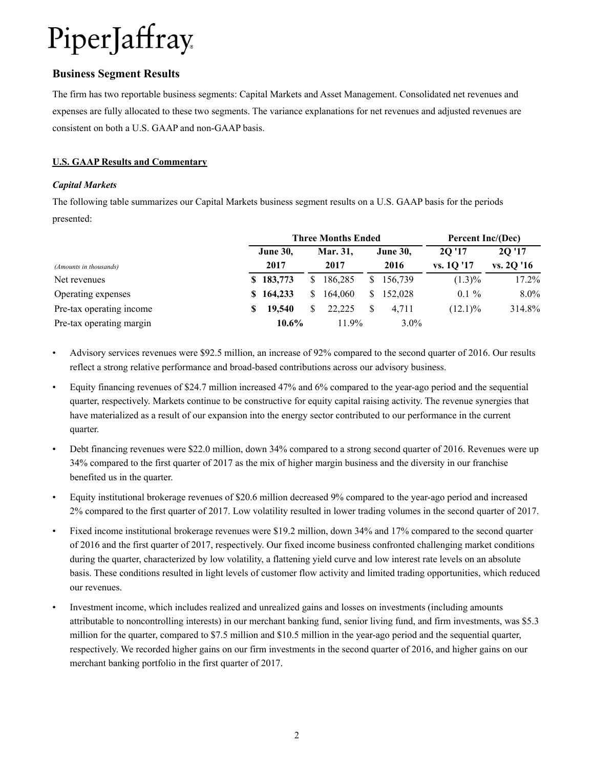### **Business Segment Results**

The firm has two reportable business segments: Capital Markets and Asset Management. Consolidated net revenues and expenses are fully allocated to these two segments. The variance explanations for net revenues and adjusted revenues are consistent on both a U.S. GAAP and non-GAAP basis.

#### **U.S. GAAP Results and Commentary**

#### *Capital Markets*

The following table summarizes our Capital Markets business segment results on a U.S. GAAP basis for the periods presented:

|                          |   |                 |               | <b>Three Months Ended</b> |    |                 | Percent Inc/(Dec) |            |  |
|--------------------------|---|-----------------|---------------|---------------------------|----|-----------------|-------------------|------------|--|
|                          |   | <b>June 30,</b> |               | Mar. 31.                  |    | <b>June 30,</b> | 20'17             | 20'17      |  |
| (Amounts in thousands)   |   | 2017            |               | 2017                      |    | 2016            | vs. 10 '17        | vs. 20 '16 |  |
| Net revenues             |   | \$183,773       | <sup>\$</sup> | 186,285                   |    | \$156,739       | $(1.3)\%$         | 17.2%      |  |
| Operating expenses       |   | \$164,233       | S.            | 164,060                   | S. | 152,028         | $0.1 \%$          | $8.0\%$    |  |
| Pre-tax operating income | S | 19,540          |               | 22.225                    |    | 4.711           | $(12.1)\%$        | 314.8%     |  |
| Pre-tax operating margin |   | 10.6%           |               | $11.9\%$                  |    | $3.0\%$         |                   |            |  |

- Advisory services revenues were \$92.5 million, an increase of 92% compared to the second quarter of 2016. Our results reflect a strong relative performance and broad-based contributions across our advisory business.
- Equity financing revenues of \$24.7 million increased 47% and 6% compared to the year-ago period and the sequential quarter, respectively. Markets continue to be constructive for equity capital raising activity. The revenue synergies that have materialized as a result of our expansion into the energy sector contributed to our performance in the current quarter.
- Debt financing revenues were \$22.0 million, down 34% compared to a strong second quarter of 2016. Revenues were up 34% compared to the first quarter of 2017 as the mix of higher margin business and the diversity in our franchise benefited us in the quarter.
- Equity institutional brokerage revenues of \$20.6 million decreased 9% compared to the year-ago period and increased 2% compared to the first quarter of 2017. Low volatility resulted in lower trading volumes in the second quarter of 2017.
- Fixed income institutional brokerage revenues were \$19.2 million, down 34% and 17% compared to the second quarter of 2016 and the first quarter of 2017, respectively. Our fixed income business confronted challenging market conditions during the quarter, characterized by low volatility, a flattening yield curve and low interest rate levels on an absolute basis. These conditions resulted in light levels of customer flow activity and limited trading opportunities, which reduced our revenues.
- Investment income, which includes realized and unrealized gains and losses on investments (including amounts attributable to noncontrolling interests) in our merchant banking fund, senior living fund, and firm investments, was \$5.3 million for the quarter, compared to \$7.5 million and \$10.5 million in the year-ago period and the sequential quarter, respectively. We recorded higher gains on our firm investments in the second quarter of 2016, and higher gains on our merchant banking portfolio in the first quarter of 2017.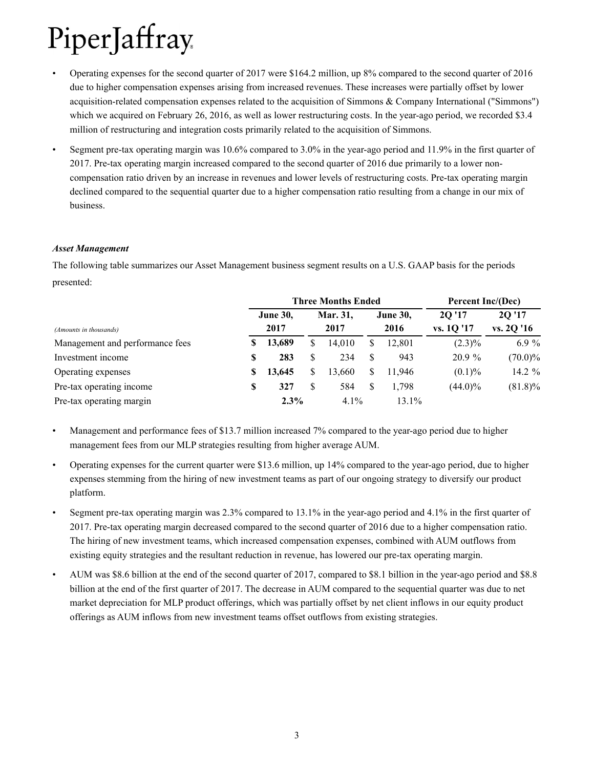- Operating expenses for the second quarter of 2017 were \$164.2 million, up 8% compared to the second quarter of 2016 due to higher compensation expenses arising from increased revenues. These increases were partially offset by lower acquisition-related compensation expenses related to the acquisition of Simmons & Company International ("Simmons") which we acquired on February 26, 2016, as well as lower restructuring costs. In the year-ago period, we recorded \$3.4 million of restructuring and integration costs primarily related to the acquisition of Simmons.
- Segment pre-tax operating margin was 10.6% compared to 3.0% in the year-ago period and 11.9% in the first quarter of 2017. Pre-tax operating margin increased compared to the second quarter of 2016 due primarily to a lower noncompensation ratio driven by an increase in revenues and lower levels of restructuring costs. Pre-tax operating margin declined compared to the sequential quarter due to a higher compensation ratio resulting from a change in our mix of business.

#### *Asset Management*

The following table summarizes our Asset Management business segment results on a U.S. GAAP basis for the periods presented:

|                                 |    |                 |    | <b>Three Months Ended</b> |     |                 | Percent Inc/(Dec) |            |  |
|---------------------------------|----|-----------------|----|---------------------------|-----|-----------------|-------------------|------------|--|
|                                 |    | <b>June 30,</b> |    | Mar. 31,                  |     | <b>June 30,</b> | 20'17             | 2Q '17     |  |
| (Amounts in thousands)          |    | 2017            |    | 2017                      |     | 2016            | vs. 10 '17        | vs. 2Q '16 |  |
| Management and performance fees | S  | 13,689          | S  | 14,010                    | S   | 12,801          | $(2.3)\%$         | 6.9 $%$    |  |
| Investment income               | S  | 283             | \$ | 234                       | \$. | 943             | 20.9%             | $(70.0)\%$ |  |
| Operating expenses              | S  | 13,645          | \$ | 13.660                    | S   | 11.946          | (0.1)%            | 14.2 $%$   |  |
| Pre-tax operating income        | \$ | 327             | \$ | 584                       | S   | 1,798           | $(44.0)\%$        | $(81.8)\%$ |  |
| Pre-tax operating margin        |    | 2.3%            |    | $4.1\%$                   |     | 13.1%           |                   |            |  |

• Management and performance fees of \$13.7 million increased 7% compared to the year-ago period due to higher management fees from our MLP strategies resulting from higher average AUM.

- Operating expenses for the current quarter were \$13.6 million, up 14% compared to the year-ago period, due to higher expenses stemming from the hiring of new investment teams as part of our ongoing strategy to diversify our product platform.
- Segment pre-tax operating margin was 2.3% compared to 13.1% in the year-ago period and 4.1% in the first quarter of 2017. Pre-tax operating margin decreased compared to the second quarter of 2016 due to a higher compensation ratio. The hiring of new investment teams, which increased compensation expenses, combined with AUM outflows from existing equity strategies and the resultant reduction in revenue, has lowered our pre-tax operating margin.
- AUM was \$8.6 billion at the end of the second quarter of 2017, compared to \$8.1 billion in the year-ago period and \$8.8 billion at the end of the first quarter of 2017. The decrease in AUM compared to the sequential quarter was due to net market depreciation for MLP product offerings, which was partially offset by net client inflows in our equity product offerings as AUM inflows from new investment teams offset outflows from existing strategies.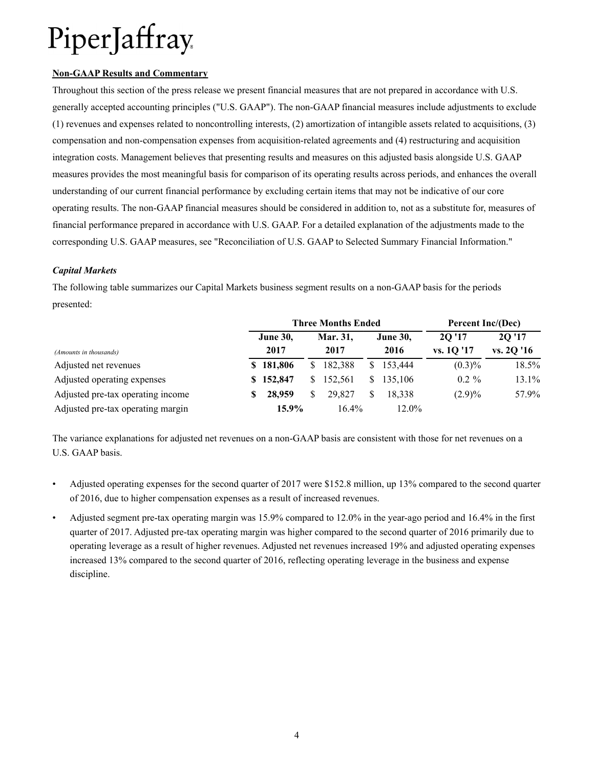#### **Non-GAAP Results and Commentary**

Throughout this section of the press release we present financial measures that are not prepared in accordance with U.S. generally accepted accounting principles ("U.S. GAAP"). The non-GAAP financial measures include adjustments to exclude (1) revenues and expenses related to noncontrolling interests, (2) amortization of intangible assets related to acquisitions, (3) compensation and non-compensation expenses from acquisition-related agreements and (4) restructuring and acquisition integration costs. Management believes that presenting results and measures on this adjusted basis alongside U.S. GAAP measures provides the most meaningful basis for comparison of its operating results across periods, and enhances the overall understanding of our current financial performance by excluding certain items that may not be indicative of our core operating results. The non-GAAP financial measures should be considered in addition to, not as a substitute for, measures of financial performance prepared in accordance with U.S. GAAP. For a detailed explanation of the adjustments made to the corresponding U.S. GAAP measures, see "Reconciliation of U.S. GAAP to Selected Summary Financial Information."

#### *Capital Markets*

The following table summarizes our Capital Markets business segment results on a non-GAAP basis for the periods presented:

|                                   |   |                 | <b>Three Months Ended</b> |    |                 | Percent Inc/(Dec) |            |  |
|-----------------------------------|---|-----------------|---------------------------|----|-----------------|-------------------|------------|--|
|                                   |   | <b>June 30,</b> | Mar. 31.                  |    | <b>June 30,</b> | 20'17             | 2Q'17      |  |
| (Amounts in thousands)            |   | 2017            | 2017                      |    | 2016            | vs. 10 '17        | vs. 2Q '16 |  |
| Adjusted net revenues             |   | \$181,806       | \$182,388                 | S. | 153,444         | $(0.3)\%$         | 18.5%      |  |
| Adjusted operating expenses       |   | \$152,847       | \$152,561                 |    | \$135,106       | $0.2 \%$          | 13.1%      |  |
| Adjusted pre-tax operating income | S | 28,959          | 29.827                    |    | 18.338          | $(2.9)\%$         | 57.9%      |  |
| Adjusted pre-tax operating margin |   | 15.9%           | $16.4\%$                  |    | 12.0%           |                   |            |  |

The variance explanations for adjusted net revenues on a non-GAAP basis are consistent with those for net revenues on a U.S. GAAP basis.

- Adjusted operating expenses for the second quarter of 2017 were \$152.8 million, up 13% compared to the second quarter of 2016, due to higher compensation expenses as a result of increased revenues.
- Adjusted segment pre-tax operating margin was 15.9% compared to 12.0% in the year-ago period and 16.4% in the first quarter of 2017. Adjusted pre-tax operating margin was higher compared to the second quarter of 2016 primarily due to operating leverage as a result of higher revenues. Adjusted net revenues increased 19% and adjusted operating expenses increased 13% compared to the second quarter of 2016, reflecting operating leverage in the business and expense discipline.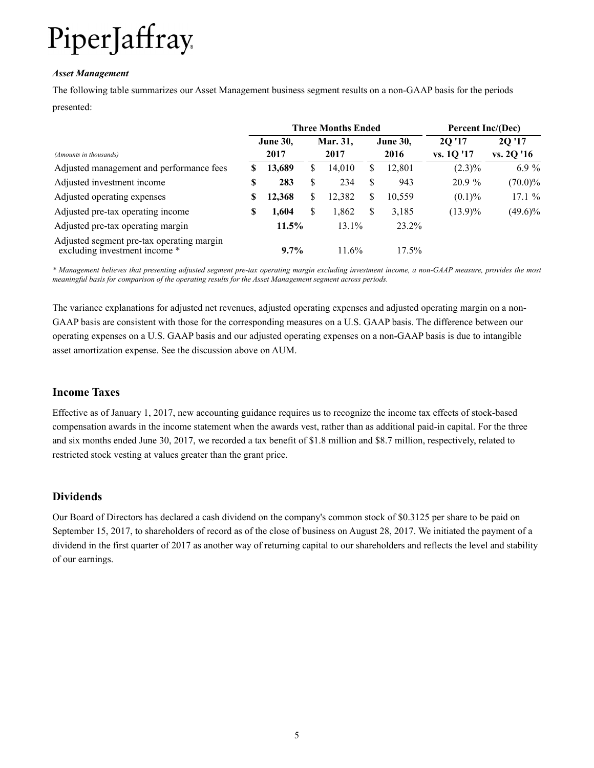#### *Asset Management*

The following table summarizes our Asset Management business segment results on a non-GAAP basis for the periods presented:

|                                                                            |    |                 | <b>Three Months Ended</b> |   |                 | Percent Inc/(Dec) |            |  |
|----------------------------------------------------------------------------|----|-----------------|---------------------------|---|-----------------|-------------------|------------|--|
|                                                                            |    | <b>June 30,</b> | Mar. 31,                  |   | <b>June 30,</b> | 2Q'17             | 20 '17     |  |
| (Amounts in thousands)                                                     |    | 2017            | 2017                      |   | 2016            | vs. 1Q '17        | vs. 2Q '16 |  |
| Adjusted management and performance fees                                   | S  | 13,689          | \$<br>14,010              | S | 12,801          | $(2.3)\%$         | $6.9\%$    |  |
| Adjusted investment income                                                 | S  | 283             | \$<br>234                 | S | 943             | $20.9\%$          | $(70.0)\%$ |  |
| Adjusted operating expenses                                                | S  | 12,368          | \$<br>12,382              | S | 10,559          | $(0.1)\%$         | 17.1%      |  |
| Adjusted pre-tax operating income                                          | \$ | 1,604           | \$<br>1,862               | S | 3,185           | $(13.9)\%$        | $(49.6)\%$ |  |
| Adjusted pre-tax operating margin                                          |    | 11.5%           | $13.1\%$                  |   | 23.2%           |                   |            |  |
| Adjusted segment pre-tax operating margin<br>excluding investment income * |    | $9.7\%$         | 11.6%                     |   | $17.5\%$        |                   |            |  |

*\* Management believes that presenting adjusted segment pre-tax operating margin excluding investment income, a non-GAAP measure, provides the most meaningful basis for comparison of the operating results for the Asset Management segment across periods.* 

The variance explanations for adjusted net revenues, adjusted operating expenses and adjusted operating margin on a non-GAAP basis are consistent with those for the corresponding measures on a U.S. GAAP basis. The difference between our operating expenses on a U.S. GAAP basis and our adjusted operating expenses on a non-GAAP basis is due to intangible asset amortization expense. See the discussion above on AUM.

## **Income Taxes**

Effective as of January 1, 2017, new accounting guidance requires us to recognize the income tax effects of stock-based compensation awards in the income statement when the awards vest, rather than as additional paid-in capital. For the three and six months ended June 30, 2017, we recorded a tax benefit of \$1.8 million and \$8.7 million, respectively, related to restricted stock vesting at values greater than the grant price.

### **Dividends**

Our Board of Directors has declared a cash dividend on the company's common stock of \$0.3125 per share to be paid on September 15, 2017, to shareholders of record as of the close of business on August 28, 2017. We initiated the payment of a dividend in the first quarter of 2017 as another way of returning capital to our shareholders and reflects the level and stability of our earnings.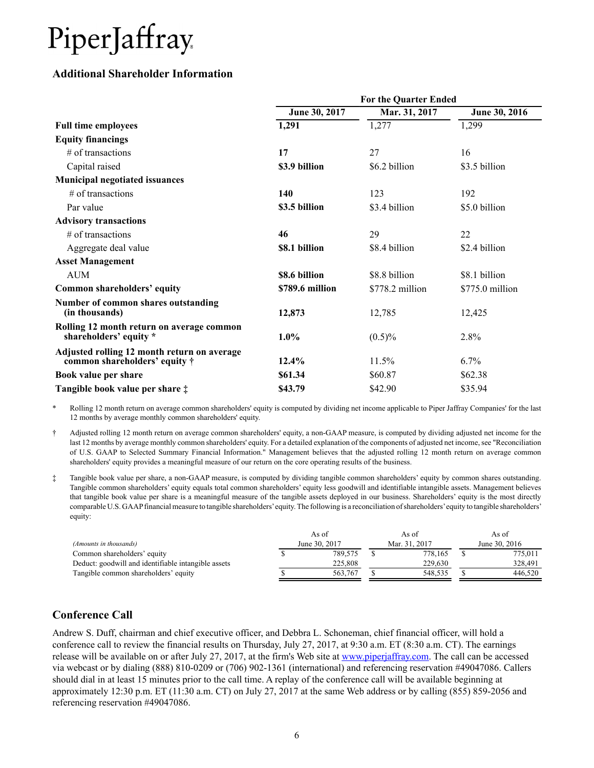### **Additional Shareholder Information**

|                                                                                      |                 | <b>For the Quarter Ended</b> |                 |
|--------------------------------------------------------------------------------------|-----------------|------------------------------|-----------------|
|                                                                                      | June 30, 2017   | Mar. 31, 2017                | June 30, 2016   |
| <b>Full time employees</b>                                                           | 1,291           | 1,277                        | 1,299           |
| <b>Equity financings</b>                                                             |                 |                              |                 |
| $#$ of transactions                                                                  | 17              | 27                           | 16              |
| Capital raised                                                                       | \$3.9 billion   | \$6.2 billion                | \$3.5 billion   |
| <b>Municipal negotiated issuances</b>                                                |                 |                              |                 |
| $#$ of transactions                                                                  | 140             | 123                          | 192             |
| Par value                                                                            | \$3.5 billion   | \$3.4 billion                | \$5.0 billion   |
| <b>Advisory transactions</b>                                                         |                 |                              |                 |
| $#$ of transactions                                                                  | 46              | 29                           | 22              |
| Aggregate deal value                                                                 | \$8.1 billion   | \$8.4 billion                | \$2.4 billion   |
| <b>Asset Management</b>                                                              |                 |                              |                 |
| <b>AUM</b>                                                                           | \$8.6 billion   | \$8.8 billion                | \$8.1 billion   |
| Common shareholders' equity                                                          | \$789.6 million | \$778.2 million              | \$775.0 million |
| Number of common shares outstanding<br>(in thousands)                                | 12,873          | 12,785                       | 12,425          |
| Rolling 12 month return on average common<br>shareholders' equity *                  | $1.0\%$         | $(0.5)\%$                    | 2.8%            |
| Adjusted rolling 12 month return on average<br>common shareholders' equity $\dagger$ | $12.4\%$        | 11.5%                        | 6.7%            |
| Book value per share                                                                 | \$61.34         | \$60.87                      | \$62.38         |
| Tangible book value per share $\ddagger$                                             | \$43.79         | \$42.90                      | \$35.94         |

\* Rolling 12 month return on average common shareholders' equity is computed by dividing net income applicable to Piper Jaffray Companies' for the last 12 months by average monthly common shareholders' equity.

† Adjusted rolling 12 month return on average common shareholders' equity, a non-GAAP measure, is computed by dividing adjusted net income for the last 12 months by average monthly common shareholders' equity. For a detailed explanation of the components of adjusted net income, see "Reconciliation of U.S. GAAP to Selected Summary Financial Information." Management believes that the adjusted rolling 12 month return on average common shareholders' equity provides a meaningful measure of our return on the core operating results of the business.

‡ Tangible book value per share, a non-GAAP measure, is computed by dividing tangible common shareholders' equity by common shares outstanding. Tangible common shareholders' equity equals total common shareholders' equity less goodwill and identifiable intangible assets. Management believes that tangible book value per share is a meaningful measure of the tangible assets deployed in our business. Shareholders' equity is the most directly comparable U.S. GAAPfinancial measure to tangible shareholders'equity. The following is a reconciliation of shareholders'equity to tangible shareholders' equity:

|                                                     | As of         | As of         | As of         |  |
|-----------------------------------------------------|---------------|---------------|---------------|--|
| (Amounts in thousands)                              | June 30, 2017 | Mar. 31, 2017 | June 30, 2016 |  |
| Common shareholders' equity                         | 789.575       | 778.165       | 775,011       |  |
| Deduct: goodwill and identifiable intangible assets | 225.808       | 229.630       | 328.491       |  |
| Tangible common shareholders' equity                | 563.767       | 548.535       | 446.520       |  |

## **Conference Call**

Andrew S. Duff, chairman and chief executive officer, and Debbra L. Schoneman, chief financial officer, will hold a conference call to review the financial results on Thursday, July 27, 2017, at 9:30 a.m. ET (8:30 a.m. CT). The earnings release will be available on or after July 27, 2017, at the firm's Web site at www.piperjaffray.com. The call can be accessed via webcast or by dialing (888) 810-0209 or (706) 902-1361 (international) and referencing reservation #49047086. Callers should dial in at least 15 minutes prior to the call time. A replay of the conference call will be available beginning at approximately 12:30 p.m. ET (11:30 a.m. CT) on July 27, 2017 at the same Web address or by calling (855) 859-2056 and referencing reservation #49047086.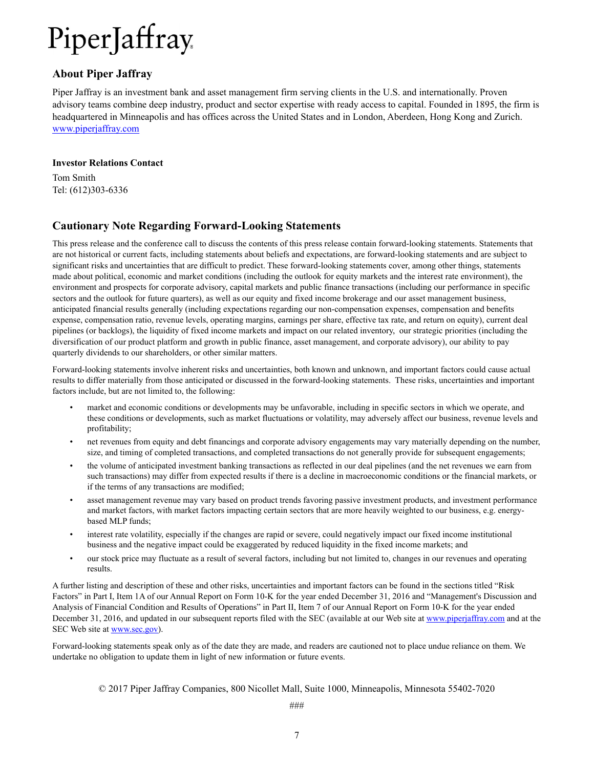### **About Piper Jaffray**

Piper Jaffray is an investment bank and asset management firm serving clients in the U.S. and internationally. Proven advisory teams combine deep industry, product and sector expertise with ready access to capital. Founded in 1895, the firm is headquartered in Minneapolis and has offices across the United States and in London, Aberdeen, Hong Kong and Zurich. www.piperjaffray.com

#### **Investor Relations Contact**

Tom Smith Tel: (612)303-6336

## **Cautionary Note Regarding Forward-Looking Statements**

This press release and the conference call to discuss the contents of this press release contain forward-looking statements. Statements that are not historical or current facts, including statements about beliefs and expectations, are forward-looking statements and are subject to significant risks and uncertainties that are difficult to predict. These forward-looking statements cover, among other things, statements made about political, economic and market conditions (including the outlook for equity markets and the interest rate environment), the environment and prospects for corporate advisory, capital markets and public finance transactions (including our performance in specific sectors and the outlook for future quarters), as well as our equity and fixed income brokerage and our asset management business, anticipated financial results generally (including expectations regarding our non-compensation expenses, compensation and benefits expense, compensation ratio, revenue levels, operating margins, earnings per share, effective tax rate, and return on equity), current deal pipelines (or backlogs), the liquidity of fixed income markets and impact on our related inventory, our strategic priorities (including the diversification of our product platform and growth in public finance, asset management, and corporate advisory), our ability to pay quarterly dividends to our shareholders, or other similar matters.

Forward-looking statements involve inherent risks and uncertainties, both known and unknown, and important factors could cause actual results to differ materially from those anticipated or discussed in the forward-looking statements. These risks, uncertainties and important factors include, but are not limited to, the following:

- market and economic conditions or developments may be unfavorable, including in specific sectors in which we operate, and these conditions or developments, such as market fluctuations or volatility, may adversely affect our business, revenue levels and profitability;
- net revenues from equity and debt financings and corporate advisory engagements may vary materially depending on the number, size, and timing of completed transactions, and completed transactions do not generally provide for subsequent engagements;
- the volume of anticipated investment banking transactions as reflected in our deal pipelines (and the net revenues we earn from such transactions) may differ from expected results if there is a decline in macroeconomic conditions or the financial markets, or if the terms of any transactions are modified;
- asset management revenue may vary based on product trends favoring passive investment products, and investment performance and market factors, with market factors impacting certain sectors that are more heavily weighted to our business, e.g. energybased MLP funds;
- interest rate volatility, especially if the changes are rapid or severe, could negatively impact our fixed income institutional business and the negative impact could be exaggerated by reduced liquidity in the fixed income markets; and
- our stock price may fluctuate as a result of several factors, including but not limited to, changes in our revenues and operating results.

A further listing and description of these and other risks, uncertainties and important factors can be found in the sections titled "Risk Factors" in Part I, Item 1A of our Annual Report on Form 10-K for the year ended December 31, 2016 and "Management's Discussion and Analysis of Financial Condition and Results of Operations" in Part II, Item 7 of our Annual Report on Form 10-K for the year ended December 31, 2016, and updated in our subsequent reports filed with the SEC (available at our Web site at www.piperjaffray.com and at the SEC Web site at www.sec.gov).

Forward-looking statements speak only as of the date they are made, and readers are cautioned not to place undue reliance on them. We undertake no obligation to update them in light of new information or future events.

© 2017 Piper Jaffray Companies, 800 Nicollet Mall, Suite 1000, Minneapolis, Minnesota 55402-7020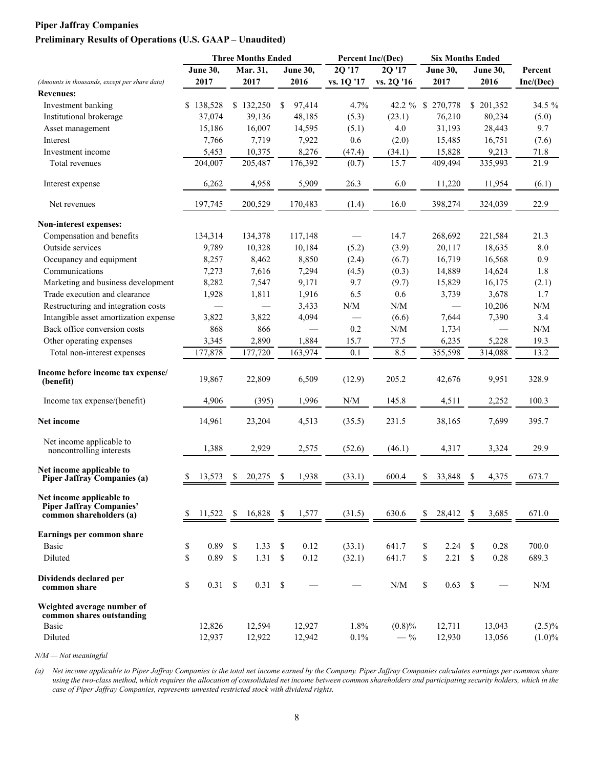### **Piper Jaffray Companies Preliminary Results of Operations (U.S. GAAP – Unaudited)**

|                                                                                 |                 |             | <b>Three Months Ended</b> |               |                 | Percent Inc/(Dec)                                           |                                                             | <b>Six Months Ended</b> |                 |               |                 |                                                             |
|---------------------------------------------------------------------------------|-----------------|-------------|---------------------------|---------------|-----------------|-------------------------------------------------------------|-------------------------------------------------------------|-------------------------|-----------------|---------------|-----------------|-------------------------------------------------------------|
|                                                                                 | <b>June 30,</b> |             | Mar. 31,                  |               | <b>June 30,</b> | 2Q '17                                                      | 2Q'17                                                       |                         | <b>June 30,</b> |               | <b>June 30,</b> | Percent                                                     |
| (Amounts in thousands, except per share data)                                   | 2017            |             | 2017                      |               | 2016            | vs. 1Q '17                                                  | vs. 2Q '16                                                  |                         | 2017            |               | 2016            | Inc/(Dec)                                                   |
| <b>Revenues:</b>                                                                |                 |             |                           |               |                 |                                                             |                                                             |                         |                 |               |                 |                                                             |
| Investment banking                                                              | \$138,528       |             | \$132,250                 | <sup>\$</sup> | 97,414          | 4.7%                                                        | $42.2 \%$ \$                                                |                         | 270,778         |               | \$201,352       | 34.5 %                                                      |
| Institutional brokerage                                                         | 37,074          |             | 39,136                    |               | 48,185          | (5.3)                                                       | (23.1)                                                      |                         | 76,210          |               | 80,234          | (5.0)                                                       |
| Asset management                                                                | 15,186          |             | 16,007                    |               | 14,595          | (5.1)                                                       | 4.0                                                         |                         | 31,193          |               | 28,443          | 9.7                                                         |
| Interest                                                                        | 7,766           |             | 7,719                     |               | 7,922           | 0.6                                                         | (2.0)                                                       |                         | 15,485          |               | 16,751          | (7.6)                                                       |
| Investment income                                                               | 5,453           |             | 10,375                    |               | 8,276           | (47.4)                                                      | (34.1)                                                      |                         | 15,828          |               | 9,213           | 71.8                                                        |
| <b>Total revenues</b>                                                           | 204,007         |             | 205,487                   |               | 176,392         | (0.7)                                                       | 15.7                                                        |                         | 409,494         |               | 335,993         | 21.9                                                        |
| Interest expense                                                                | 6,262           |             | 4,958                     |               | 5,909           | 26.3                                                        | 6.0                                                         |                         | 11,220          |               | 11,954          | (6.1)                                                       |
| Net revenues                                                                    | 197,745         |             | 200,529                   |               | 170,483         | (1.4)                                                       | 16.0                                                        |                         | 398,274         |               | 324,039         | 22.9                                                        |
| Non-interest expenses:                                                          |                 |             |                           |               |                 |                                                             |                                                             |                         |                 |               |                 |                                                             |
| Compensation and benefits                                                       | 134,314         |             | 134,378                   |               | 117,148         |                                                             | 14.7                                                        |                         | 268,692         |               | 221,584         | 21.3                                                        |
| Outside services                                                                | 9,789           |             | 10,328                    |               | 10,184          | (5.2)                                                       | (3.9)                                                       |                         | 20,117          |               | 18,635          | $8.0\,$                                                     |
| Occupancy and equipment                                                         | 8,257           |             | 8,462                     |               | 8,850           | (2.4)                                                       | (6.7)                                                       |                         | 16,719          |               | 16,568          | 0.9                                                         |
| Communications                                                                  | 7,273           |             | 7,616                     |               | 7,294           | (4.5)                                                       | (0.3)                                                       |                         | 14,889          |               | 14,624          | 1.8                                                         |
| Marketing and business development                                              | 8,282           |             | 7,547                     |               | 9,171           | 9.7                                                         | (9.7)                                                       |                         | 15,829          |               | 16,175          | (2.1)                                                       |
| Trade execution and clearance                                                   | 1,928           |             | 1,811                     |               | 1,916           | 6.5                                                         | 0.6                                                         |                         | 3,739           |               | 3,678           | 1.7                                                         |
| Restructuring and integration costs                                             |                 |             | $\overline{\phantom{0}}$  |               | 3,433           | $\ensuremath{\text{N}}/\ensuremath{\text{M}}$               | N/M                                                         |                         |                 |               | 10,206          | $\ensuremath{\text{N}}\xspace/\ensuremath{\text{M}}\xspace$ |
| Intangible asset amortization expense                                           | 3,822           |             | 3,822                     |               | 4,094           |                                                             | (6.6)                                                       |                         | 7,644           |               | 7,390           | 3.4                                                         |
| Back office conversion costs                                                    | 868             |             | 866                       |               |                 | 0.2                                                         | $\ensuremath{\text{N}}\xspace/\ensuremath{\text{M}}\xspace$ |                         | 1,734           |               |                 | $\ensuremath{\text{N}}\xspace/\ensuremath{\text{M}}\xspace$ |
| Other operating expenses                                                        | 3,345           |             | 2,890                     |               | 1,884           | 15.7                                                        | 77.5                                                        |                         | 6,235           |               | 5,228           | 19.3                                                        |
| Total non-interest expenses                                                     | 177,878         |             | 177,720                   |               | 163,974         | $\overline{0.1}$                                            | 8.5                                                         |                         | 355,598         |               | 314,088         | 13.2                                                        |
|                                                                                 |                 |             |                           |               |                 |                                                             |                                                             |                         |                 |               |                 |                                                             |
| Income before income tax expense/<br>(benefit)                                  | 19,867          |             | 22,809                    |               | 6,509           | (12.9)                                                      | 205.2                                                       |                         | 42,676          |               | 9,951           | 328.9                                                       |
| Income tax expense/(benefit)                                                    | 4,906           |             | (395)                     |               | 1,996           | $\ensuremath{\text{N}}\xspace/\ensuremath{\text{M}}\xspace$ | 145.8                                                       |                         | 4,511           |               | 2,252           | 100.3                                                       |
| Net income                                                                      | 14,961          |             | 23,204                    |               | 4,513           | (35.5)                                                      | 231.5                                                       |                         | 38,165          |               | 7,699           | 395.7                                                       |
| Net income applicable to<br>noncontrolling interests                            | 1,388           |             | 2,929                     |               | 2,575           | (52.6)                                                      | (46.1)                                                      |                         | 4,317           |               | 3,324           | 29.9                                                        |
| Net income applicable to<br>Piper Jaffray Companies (a)                         | 13,573<br>S     | -S          | 20,275                    | \$            | 1,938           | (33.1)                                                      | 600.4                                                       | \$                      | 33,848          | \$            | 4,375           | 673.7                                                       |
| Net income applicable to<br>Piper Jaffray Companies'<br>common shareholders (a) | 11,522<br>\$    |             | 16,828<br>\$              | -S            | 1,577           | (31.5)                                                      | 630.6                                                       | \$                      | 28,412          | \$            | 3,685           | 671.0                                                       |
| Earnings per common share                                                       |                 |             |                           |               |                 |                                                             |                                                             |                         |                 |               |                 |                                                             |
| Basic                                                                           | \$<br>0.89      |             | \$<br>1.33                | \$            | 0.12            | (33.1)                                                      | 641.7                                                       | \$                      | 2.24            | \$            | 0.28            | 700.0                                                       |
| Diluted                                                                         | \$<br>0.89      |             | $\mathbb{S}$<br>1.31      | $\$$          | 0.12            | (32.1)                                                      | 641.7                                                       | \$                      | 2.21            | \$            | 0.28            | 689.3                                                       |
| Dividends declared per<br>common share                                          | \$<br>0.31      | $\mathbb S$ | 0.31                      | \$            |                 |                                                             | $\ensuremath{\text{N}}\xspace/\ensuremath{\text{M}}\xspace$ | \$                      | 0.63            | $\mathcal{S}$ |                 | N/M                                                         |
| Weighted average number of<br>common shares outstanding<br><b>Basic</b>         | 12,826          |             | 12,594                    |               | 12,927          | 1.8%                                                        | (0.8)%                                                      |                         | 12,711          |               | 13,043          | $(2.5)\%$                                                   |
| Diluted                                                                         | 12,937          |             | 12,922                    |               | 12,942          | 0.1%                                                        | $-$ %                                                       |                         | 12,930          |               | 13,056          | $(1.0)\%$                                                   |
|                                                                                 |                 |             |                           |               |                 |                                                             |                                                             |                         |                 |               |                 |                                                             |

*N/M — Not meaningful*

*(a) Net income applicable to Piper Jaffray Companies is the total net income earned by the Company. Piper Jaffray Companies calculates earnings per common share using the two-class method, which requires the allocation of consolidated net income between common shareholders and participating security holders, which in the case of Piper Jaffray Companies, represents unvested restricted stock with dividend rights.*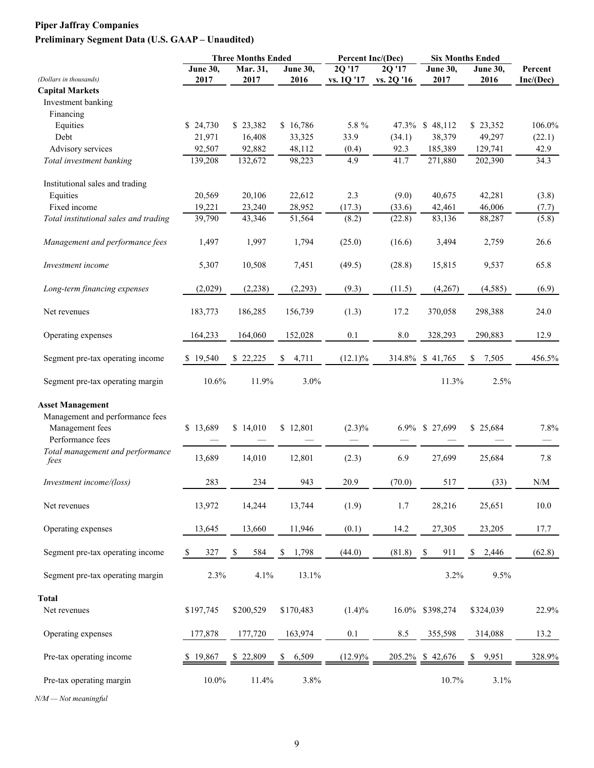# **Piper Jaffray Companies Preliminary Segment Data (U.S. GAAP – Unaudited)**

|                                              |                 | <b>Three Months Ended</b> |             | Percent Inc/(Dec)    |            | <b>Six Months Ended</b> |            |           |
|----------------------------------------------|-----------------|---------------------------|-------------|----------------------|------------|-------------------------|------------|-----------|
| (Dollars in thousands)                       | <b>June 30,</b> | Mar. 31,<br>2017          | June 30,    | $2Q$ <sup>17</sup>   | 2Q '17     | <b>June 30,</b>         | June 30,   | Percent   |
|                                              | 2017            |                           | 2016        | vs. 1Q '17           | vs. 2Q '16 | 2017                    | 2016       | Inc/(Dec) |
| <b>Capital Markets</b><br>Investment banking |                 |                           |             |                      |            |                         |            |           |
|                                              |                 |                           |             |                      |            |                         |            |           |
| Financing                                    |                 |                           |             |                      |            |                         |            |           |
| Equities                                     | \$24,730        | \$23,382                  | \$16,786    | 5.8 %                | 47.3%      | \$48,112                | \$23,352   | 106.0%    |
| Debt                                         | 21,971          | 16,408                    | 33,325      | 33.9                 | (34.1)     | 38,379                  | 49,297     | (22.1)    |
| Advisory services                            | 92,507          | 92,882                    | 48,112      | (0.4)                | 92.3       | 185,389                 | 129,741    | 42.9      |
| Total investment banking                     | 139,208         | 132,672                   | 98,223      | 4.9                  | 41.7       | 271,880                 | 202,390    | 34.3      |
| Institutional sales and trading              |                 |                           |             |                      |            |                         |            |           |
| Equities                                     | 20,569          | 20,106                    | 22,612      | 2.3                  | (9.0)      | 40,675                  | 42,281     | (3.8)     |
| Fixed income                                 | 19,221          | 23,240                    | 28,952      | (17.3)               | (33.6)     | 42,461                  | 46,006     | (7.7)     |
| Total institutional sales and trading        | 39,790          | 43,346                    | 51,564      | (8.2)                | (22.8)     | 83,136                  | 88,287     | (5.8)     |
| Management and performance fees              | 1,497           | 1,997                     | 1,794       | (25.0)               | (16.6)     | 3,494                   | 2,759      | 26.6      |
| Investment income                            | 5,307           | 10,508                    | 7,451       | (49.5)               | (28.8)     | 15,815                  | 9,537      | 65.8      |
| Long-term financing expenses                 | (2,029)         | (2,238)                   | (2,293)     | (9.3)                | (11.5)     | (4,267)                 | (4, 585)   | (6.9)     |
| Net revenues                                 | 183,773         | 186,285                   | 156,739     | (1.3)                | 17.2       | 370,058                 | 298,388    | 24.0      |
| Operating expenses                           | 164,233         | 164,060                   | 152,028     | 0.1                  | 8.0        | 328,293                 | 290,883    | 12.9      |
| Segment pre-tax operating income             | \$19,540        | \$22,225                  | 4,711<br>S  | $(12.1)\%$           | 314.8%     | \$41,765                | 7,505<br>S | 456.5%    |
| Segment pre-tax operating margin             | 10.6%           | 11.9%                     | 3.0%        |                      |            | 11.3%                   | 2.5%       |           |
| <b>Asset Management</b>                      |                 |                           |             |                      |            |                         |            |           |
| Management and performance fees              |                 |                           |             |                      |            |                         |            |           |
| Management fees                              | \$13,689        | \$14,010                  | \$12,801    | $(2.3)\%$            |            | 6.9% \$ 27,699          | \$25,684   | 7.8%      |
| Performance fees                             |                 |                           |             |                      |            |                         |            |           |
| Total management and performance             |                 |                           |             |                      |            |                         |            |           |
| fees                                         | 13,689          | 14,010                    | 12,801      | (2.3)                | 6.9        | 27,699                  | 25,684     | 7.8       |
| Investment income/(loss)                     | 283             | 234                       | 943         | 20.9                 | (70.0)     | 517                     | (33)       | N/M       |
|                                              |                 |                           |             |                      |            |                         |            |           |
| Net revenues                                 | 13,972          | 14,244                    | 13,744      | (1.9)                | 1.7        | 28,216                  | 25,651     | 10.0      |
| Operating expenses                           | 13,645          | 13,660                    | 11,946      | (0.1)                | 14.2       | 27,305                  | 23,205     | 17.7      |
| Segment pre-tax operating income             | 327<br>S.       | 584<br>\$                 | \$<br>1,798 | (44.0)               | (81.8)     | -S<br>911               | \$2,446    | (62.8)    |
| Segment pre-tax operating margin             | 2.3%            | 4.1%                      | 13.1%       |                      |            | 3.2%                    | 9.5%       |           |
| Total                                        |                 |                           |             |                      |            |                         |            |           |
| Net revenues                                 | \$197,745       | \$200,529                 | \$170,483   | $(1.4)\%$            |            | 16.0% \$398,274         | \$324,039  | 22.9%     |
|                                              |                 |                           |             |                      |            |                         |            |           |
| Operating expenses                           | 177,878         | 177,720                   | 163,974     | 0.1                  | 8.5        | 355,598                 | 314,088    | 13.2      |
| Pre-tax operating income                     | \$19,867        | \$22,809                  | 6,509<br>S. | $\frac{(12.9)\%}{2}$ |            | $205.2\%$ \$ 42,676     | \$ 9,951   | 328.9%    |
| Pre-tax operating margin                     | $10.0\%$        | 11.4%                     | 3.8%        |                      |            | 10.7%                   | 3.1%       |           |

*N/M — Not meaningful*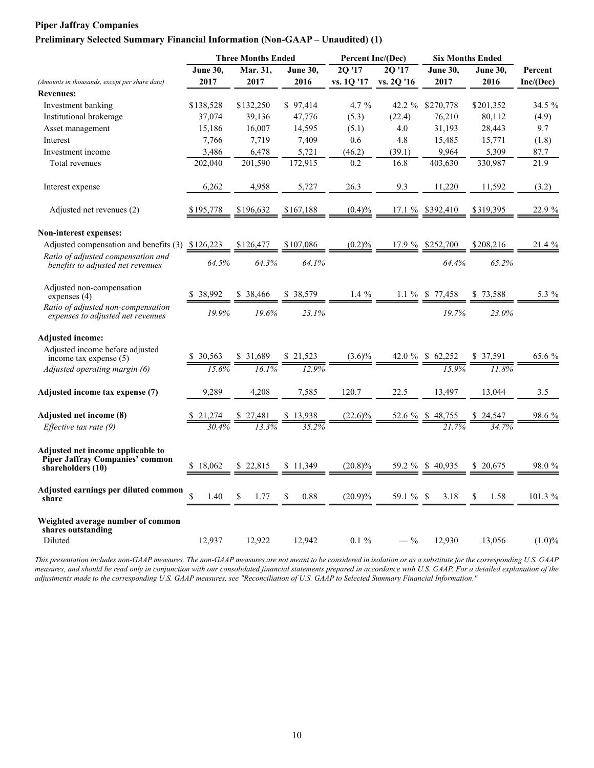#### **Piper Jaffray Companies**

#### **Preliminary Selected Summary Financial Information (Non-GAAP – Unaudited) (1)**

|                                                                                                  |             | <b>Three Months Ended</b> |            | Percent Inc/(Dec) |            |                   | <b>Six Months Ended</b> |           |
|--------------------------------------------------------------------------------------------------|-------------|---------------------------|------------|-------------------|------------|-------------------|-------------------------|-----------|
|                                                                                                  | June 30,    | Mar. 31,                  | June 30,   | 2Q'17             | 20'17      | <b>June 30,</b>   | <b>June 30,</b>         | Percent   |
| (Amounts in thousands, except per share data)                                                    | 2017        | 2017                      | 2016       | vs. 1Q '17        | vs. 2Q '16 | 2017              | 2016                    | Inc/(Dec) |
| <b>Revenues:</b>                                                                                 |             |                           |            |                   |            |                   |                         |           |
| Investment banking                                                                               | \$138,528   | \$132,250                 | \$97,414   | $4.7\%$           | 42.2 $%$   | \$270,778         | \$201,352               | 34.5 %    |
| Institutional brokerage                                                                          | 37,074      | 39,136                    | 47,776     | (5.3)             | (22.4)     | 76,210            | 80,112                  | (4.9)     |
| Asset management                                                                                 | 15,186      | 16,007                    | 14,595     | (5.1)             | 4.0        | 31,193            | 28,443                  | 9.7       |
| Interest                                                                                         | 7,766       | 7,719                     | 7,409      | 0.6               | 4.8        | 15,485            | 15,771                  | (1.8)     |
| Investment income                                                                                | 3,486       | 6,478                     | 5,721      | (46.2)            | (39.1)     | 9,964             | 5,309                   | 87.7      |
| Total revenues                                                                                   | 202,040     | 201,590                   | 172,915    | 0.2               | 16.8       | 403.630           | 330,987                 | 21.9      |
| Interest expense                                                                                 | 6,262       | 4,958                     | 5,727      | 26.3              | 9.3        | 11,220            | 11,592                  | (3.2)     |
| Adjusted net revenues (2)                                                                        | \$195,778   | \$196.632                 | \$167,188  | (0.4)%            | 17.1%      | \$392,410         | \$319,395               | 22.9 %    |
| Non-interest expenses:                                                                           |             |                           |            |                   |            |                   |                         |           |
| Adjusted compensation and benefits (3) \$126,223                                                 |             | \$126,477                 | \$107,086  | (0.2)%            |            | 17.9 % \$252,700  | \$208,216               | 21.4 %    |
| Ratio of adjusted compensation and<br>benefits to adjusted net revenues                          | 64.5%       | 64.3%                     | 64.1%      |                   |            | 64.4%             | 65.2%                   |           |
| Adjusted non-compensation<br>expenses $(4)$                                                      | \$38,992    | \$ 38.466                 | \$38,579   | $1.4\%$           |            | $1.1\%$ \$ 77,458 | 73,588<br>\$            | 5.3 %     |
| Ratio of adjusted non-compensation<br>expenses to adjusted net revenues                          | 19.9%       | 19.6%                     | 23.1%      |                   |            | 19.7%             | 23.0%                   |           |
| <b>Adjusted income:</b>                                                                          |             |                           |            |                   |            |                   |                         |           |
| Adjusted income before adjusted<br>income tax expense $(5)$                                      | \$30,563    | \$ 31,689                 | \$21,523   | $(3.6)\%$         | 42.0 %     | \$62,252          | \$37,591                | 65.6 %    |
| Adjusted operating margin (6)                                                                    | 15.6%       | 16.1%                     | 12.9%      |                   |            | 15.9%             | 11.8%                   |           |
| Adjusted income tax expense (7)                                                                  | 9,289       | 4,208                     | 7,585      | 120.7             | 22.5       | 13,497            | 13,044                  | 3.5       |
| <b>Adjusted net income (8)</b>                                                                   |             |                           |            | $(22.6)\%$        | 52.6 %     |                   |                         | 98.6 %    |
| <i>Effective tax rate</i> $(9)$                                                                  |             |                           | 3.5 2%     |                   |            |                   |                         |           |
| Adjusted net income applicable to<br><b>Piper Jaffray Companies' common</b><br>shareholders (10) | S<br>18.062 | \$22.815                  | \$11,349   | $(20.8)\%$        | 59.2 %     | \$40,935          | \$20,675                | 98.0%     |
| Adjusted earnings per diluted common<br>share                                                    | \$<br>1.40  | 1.77                      | \$<br>0.88 | $(20.9)\%$        | 59.1 % \$  | 3.18              | \$<br>1.58              | 101.3 %   |
| Weighted average number of common<br>shares outstanding<br>Diluted                               | 12,937      | 12,922                    | 12,942     | $0.1 \%$          | $-$ %      | 12,930            | 13,056                  | $(1.0)\%$ |

*This presentation includes non-GAAP measures. The non-GAAP measures are not meant to be considered in isolation or as a substitute for the corresponding U.S. GAAP measures, and should be read only in conjunction with our consolidated financial statements prepared in accordance with U.S. GAAP. For a detailed explanation of the adjustments made to the corresponding U.S. GAAP measures, see "Reconciliation of U.S. GAAP to Selected Summary Financial Information."*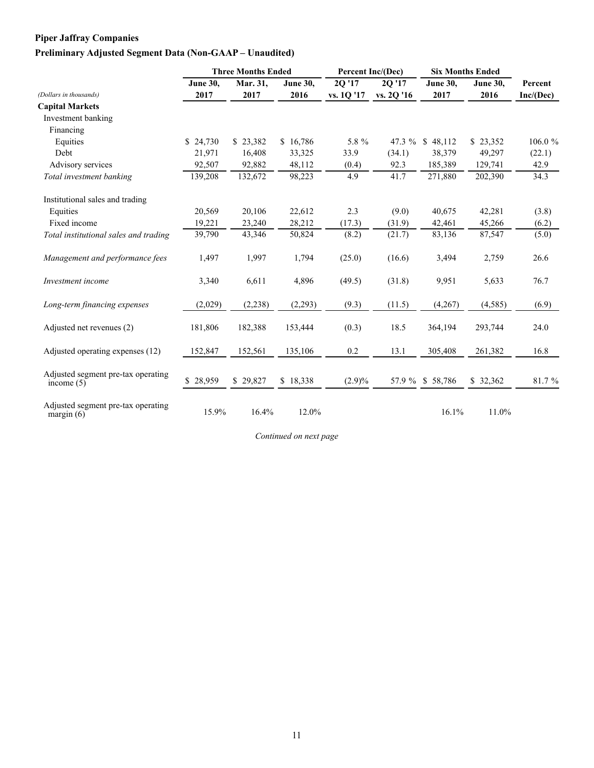## **Piper Jaffray Companies Preliminary Adjusted Segment Data (Non-GAAP – Unaudited)**

|                                                    |          | <b>Three Months Ended</b> |                 | Percent Inc/(Dec) |            |                  | <b>Six Months Ended</b> |           |
|----------------------------------------------------|----------|---------------------------|-----------------|-------------------|------------|------------------|-------------------------|-----------|
|                                                    | June 30, | Mar. 31,                  | <b>June 30.</b> | 2Q '17            | 20 '17     | June 30,         | <b>June 30,</b>         | Percent   |
| (Dollars in thousands)                             | 2017     | 2017                      | 2016            | vs. 1Q '17        | vs. 2Q '16 | 2017             | 2016                    | Inc/(Dec) |
| <b>Capital Markets</b>                             |          |                           |                 |                   |            |                  |                         |           |
| Investment banking                                 |          |                           |                 |                   |            |                  |                         |           |
| Financing                                          |          |                           |                 |                   |            |                  |                         |           |
| Equities                                           | \$24,730 | \$23,382                  | \$16,786        | 5.8 %             | 47.3 $%$   | \$48,112         | \$23,352                | 106.0%    |
| Debt                                               | 21,971   | 16,408                    | 33,325          | 33.9              | (34.1)     | 38,379           | 49,297                  | (22.1)    |
| Advisory services                                  | 92,507   | 92,882                    | 48,112          | (0.4)             | 92.3       | 185,389          | 129,741                 | 42.9      |
| Total investment banking                           | 139,208  | 132,672                   | 98,223          | 4.9               | 41.7       | 271,880          | 202,390                 | 34.3      |
| Institutional sales and trading                    |          |                           |                 |                   |            |                  |                         |           |
| Equities                                           | 20,569   | 20,106                    | 22,612          | 2.3               | (9.0)      | 40,675           | 42,281                  | (3.8)     |
| Fixed income                                       | 19,221   | 23,240                    | 28,212          | (17.3)            | (31.9)     | 42,461           | 45,266                  | (6.2)     |
| Total institutional sales and trading              | 39,790   | 43,346                    | 50,824          | (8.2)             | (21.7)     | 83,136           | 87,547                  | (5.0)     |
| Management and performance fees                    | 1,497    | 1,997                     | 1,794           | (25.0)            | (16.6)     | 3,494            | 2,759                   | 26.6      |
| Investment income                                  | 3,340    | 6,611                     | 4,896           | (49.5)            | (31.8)     | 9,951            | 5,633                   | 76.7      |
| Long-term financing expenses                       | (2,029)  | (2, 238)                  | (2,293)         | (9.3)             | (11.5)     | (4,267)          | (4, 585)                | (6.9)     |
| Adjusted net revenues (2)                          | 181,806  | 182,388                   | 153,444         | (0.3)             | 18.5       | 364,194          | 293,744                 | 24.0      |
| Adjusted operating expenses (12)                   | 152,847  | 152,561                   | 135,106         | 0.2               | 13.1       | 305,408          | 261,382                 | 16.8      |
| Adjusted segment pre-tax operating<br>income $(5)$ | \$28,959 | \$29,827                  | \$18,338        | $(2.9)\%$         |            | 57.9 % \$ 58,786 | \$32,362                | 81.7%     |
| Adjusted segment pre-tax operating<br>margin $(6)$ | 15.9%    | 16.4%                     | 12.0%           |                   |            | 16.1%            | 11.0%                   |           |

*Continued on next page*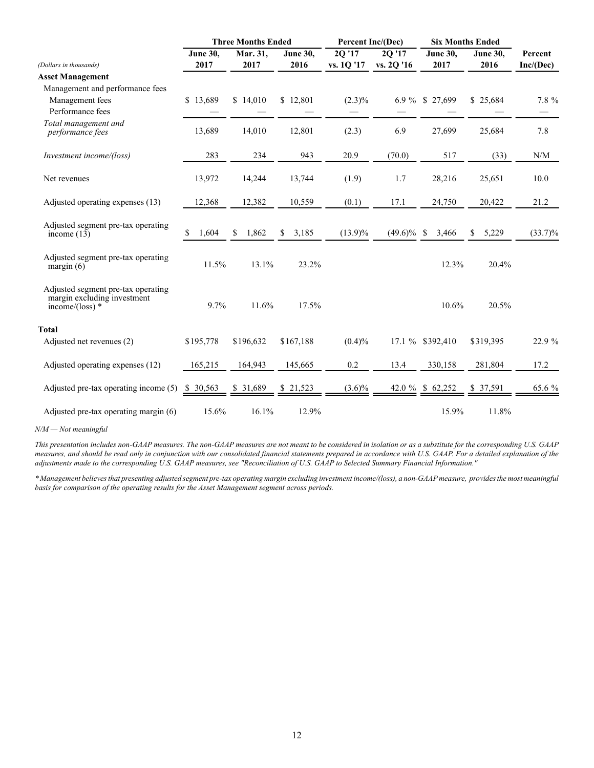|                                                                                        |                 | <b>Three Months Ended</b> |                 | <b>Percent Inc/(Dec)</b> |            | <b>Six Months Ended</b> |             |                                                             |
|----------------------------------------------------------------------------------------|-----------------|---------------------------|-----------------|--------------------------|------------|-------------------------|-------------|-------------------------------------------------------------|
|                                                                                        | <b>June 30,</b> | Mar. 31,                  | <b>June 30,</b> | 2Q'17                    | 2Q '17     | June 30,                | June 30,    | Percent                                                     |
| (Dollars in thousands)                                                                 | 2017            | 2017                      | 2016            | vs. 1Q '17               | vs. 2Q '16 | 2017                    | 2016        | Inc/(Dec)                                                   |
| <b>Asset Management</b>                                                                |                 |                           |                 |                          |            |                         |             |                                                             |
| Management and performance fees                                                        |                 |                           |                 |                          |            |                         |             |                                                             |
| Management fees                                                                        | \$13,689        | \$14,010                  | \$12,801        | $(2.3)\%$                | 6.9 $%$    | \$27,699                | \$25,684    | 7.8 %                                                       |
| Performance fees                                                                       |                 |                           |                 |                          |            |                         |             |                                                             |
| Total management and<br>performance fees                                               | 13,689          | 14,010                    | 12,801          | (2.3)                    | 6.9        | 27,699                  | 25,684      | 7.8                                                         |
| Investment income/(loss)                                                               | 283             | 234                       | 943             | 20.9                     | (70.0)     | 517                     | (33)        | $\ensuremath{\text{N}}\xspace/\ensuremath{\text{M}}\xspace$ |
| Net revenues                                                                           | 13,972          | 14,244                    | 13,744          | (1.9)                    | 1.7        | 28,216                  | 25,651      | 10.0                                                        |
| Adjusted operating expenses (13)                                                       | 12,368          | 12,382                    | 10,559          | (0.1)                    | 17.1       | 24,750                  | 20,422      | 21.2                                                        |
| Adjusted segment pre-tax operating<br>income $(13)$                                    | \$<br>1,604     | \$<br>1,862               | 3,185<br>\$     | $(13.9)\%$               | $(49.6)\%$ | \$<br>3,466             | 5,229<br>\$ | $(33.7)\%$                                                  |
| Adjusted segment pre-tax operating<br>margin $(6)$                                     | 11.5%           | 13.1%                     | 23.2%           |                          |            | 12.3%                   | 20.4%       |                                                             |
| Adjusted segment pre-tax operating<br>margin excluding investment<br>income/(loss) $*$ | 9.7%            | 11.6%                     | 17.5%           |                          |            | 10.6%                   | 20.5%       |                                                             |
| <b>Total</b>                                                                           |                 |                           |                 |                          |            |                         |             |                                                             |
| Adjusted net revenues (2)                                                              | \$195,778       | \$196,632                 | \$167,188       | $(0.4)\%$                |            | 17.1 % \$392,410        | \$319,395   | 22.9 %                                                      |
| Adjusted operating expenses (12)                                                       | 165,215         | 164,943                   | 145,665         | 0.2                      | 13.4       | 330,158                 | 281,804     | 17.2                                                        |
| Adjusted pre-tax operating income (5)                                                  | \$ 30,563       | \$ 31,689                 | \$21,523        | $(3.6)\%$                |            | 42.0 % \$ 62,252        | \$ 37,591   | 65.6 %                                                      |
| Adjusted pre-tax operating margin (6)                                                  | 15.6%           | 16.1%                     | 12.9%           |                          |            | 15.9%                   | 11.8%       |                                                             |

*N/M — Not meaningful*

*This presentation includes non-GAAP measures. The non-GAAP measures are not meant to be considered in isolation or as a substitute for the corresponding U.S. GAAP measures, and should be read only in conjunction with our consolidated financial statements prepared in accordance with U.S. GAAP. For a detailed explanation of the adjustments made to the corresponding U.S. GAAP measures, see "Reconciliation of U.S. GAAP to Selected Summary Financial Information."*

*\* Management believes that presenting adjusted segment pre-tax operating margin excluding investment income/(loss), a non-GAAP measure, provides the most meaningful basis for comparison of the operating results for the Asset Management segment across periods.*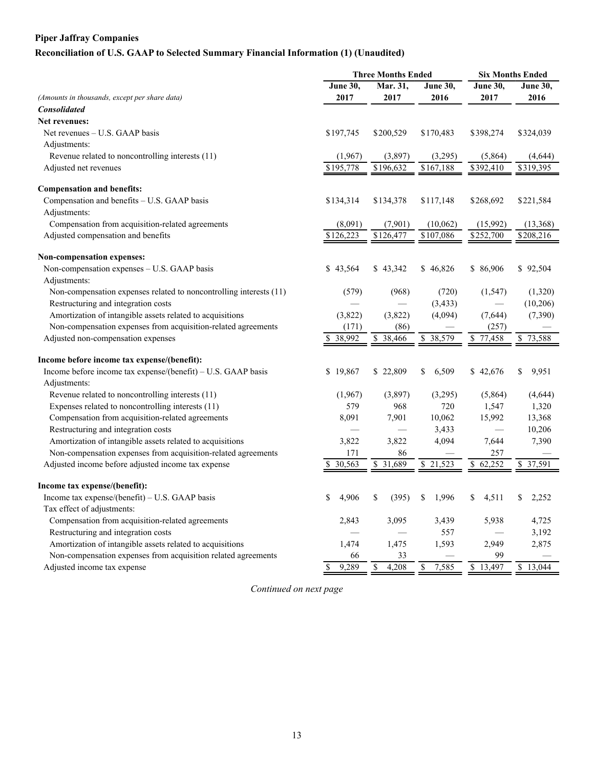## **Piper Jaffray Companies**

# **Reconciliation of U.S. GAAP to Selected Summary Financial Information (1) (Unaudited)**

|                                                                    |                      | <b>Three Months Ended</b> | <b>Six Months Ended</b> |                        |                 |  |
|--------------------------------------------------------------------|----------------------|---------------------------|-------------------------|------------------------|-----------------|--|
|                                                                    | <b>June 30,</b>      | Mar. 31,                  | <b>June 30,</b>         | <b>June 30,</b>        | <b>June 30,</b> |  |
| (Amounts in thousands, except per share data)                      | 2017                 | 2017                      | 2016                    | 2017                   | 2016            |  |
| <b>Consolidated</b>                                                |                      |                           |                         |                        |                 |  |
| Net revenues:                                                      |                      |                           |                         |                        |                 |  |
| Net revenues – U.S. GAAP basis                                     | \$197,745            | \$200,529                 | \$170,483               | \$398,274              | \$324,039       |  |
| Adjustments:                                                       |                      |                           |                         |                        |                 |  |
| Revenue related to noncontrolling interests (11)                   | (1,967)              | (3,897)                   | (3,295)                 | (5,864)                | (4,644)         |  |
| Adjusted net revenues                                              | \$195,778            | \$196,632                 | \$167,188               | \$392,410              | \$319,395       |  |
| <b>Compensation and benefits:</b>                                  |                      |                           |                         |                        |                 |  |
| Compensation and benefits - U.S. GAAP basis                        | \$134,314            | \$134,378                 | \$117,148               | \$268,692              | \$221,584       |  |
| Adjustments:                                                       |                      |                           |                         |                        |                 |  |
| Compensation from acquisition-related agreements                   | (8,091)              | (7,901)                   | (10,062)                | (15,992)               | (13,368)        |  |
| Adjusted compensation and benefits                                 | \$126,223            | $\sqrt{3}126,477$         | \$107,086               | \$252,700              | \$208,216       |  |
| <b>Non-compensation expenses:</b>                                  |                      |                           |                         |                        |                 |  |
| Non-compensation expenses - U.S. GAAP basis                        | \$43,564             | \$43,342                  | \$46,826                | \$86,906               | \$92,504        |  |
| Adjustments:                                                       |                      |                           |                         |                        |                 |  |
| Non-compensation expenses related to noncontrolling interests (11) | (579)                | (968)                     | (720)                   | (1, 547)               | (1,320)         |  |
| Restructuring and integration costs                                |                      |                           | (3, 433)                |                        | (10, 206)       |  |
| Amortization of intangible assets related to acquisitions          | (3,822)              | (3,822)                   | (4,094)                 | (7, 644)               | (7,390)         |  |
| Non-compensation expenses from acquisition-related agreements      | (171)                | (86)                      |                         | (257)                  |                 |  |
| Adjusted non-compensation expenses                                 | \$38,992             | \$ 38,466                 | \$38,579                | \$77,458               | \$73,588        |  |
| Income before income tax expense/(benefit):                        |                      |                           |                         |                        |                 |  |
| Income before income tax expense/(benefit) - U.S. GAAP basis       | \$<br>19,867         | \$22,809                  | \$<br>6,509             | \$42,676               | \$<br>9,951     |  |
| Adjustments:                                                       |                      |                           |                         |                        |                 |  |
| Revenue related to noncontrolling interests (11)                   | (1,967)              | (3,897)                   | (3,295)                 | (5,864)                | (4,644)         |  |
| Expenses related to noncontrolling interests (11)                  | 579                  | 968                       | 720                     | 1,547                  | 1,320           |  |
| Compensation from acquisition-related agreements                   | 8,091                | 7,901                     | 10,062                  | 15,992                 | 13,368          |  |
| Restructuring and integration costs                                |                      |                           | 3,433                   |                        | 10,206          |  |
| Amortization of intangible assets related to acquisitions          | 3,822                | 3,822                     | 4,094                   | 7,644                  | 7,390           |  |
| Non-compensation expenses from acquisition-related agreements      | 171                  | 86                        |                         | 257                    |                 |  |
| Adjusted income before adjusted income tax expense                 | 30,563               | 31,689<br>\$              | 21,523<br>\$            | 62,252<br>S.           | 37,591<br>\$    |  |
| Income tax expense/(benefit):                                      |                      |                           |                         |                        |                 |  |
| Income tax expense/(benefit) - U.S. GAAP basis                     | \$<br>4,906          | \$<br>(395)               | 1,996<br>\$             | 4,511<br>\$            | 2,252<br>\$     |  |
| Tax effect of adjustments:                                         |                      |                           |                         |                        |                 |  |
| Compensation from acquisition-related agreements                   | 2,843                | 3,095                     | 3,439                   | 5,938                  | 4,725           |  |
| Restructuring and integration costs                                |                      |                           | 557                     |                        | 3,192           |  |
| Amortization of intangible assets related to acquisitions          | 1,474                | 1,475                     | 1,593                   | 2,949                  | 2,875           |  |
| Non-compensation expenses from acquisition related agreements      | 66                   | 33                        |                         | 99                     |                 |  |
| Adjusted income tax expense                                        | $\mathbf S$<br>9,289 | 4,208<br>\$               | 7,585<br>\$             | 13,497<br>$\mathbb{S}$ | \$13,044        |  |

*Continued on next page*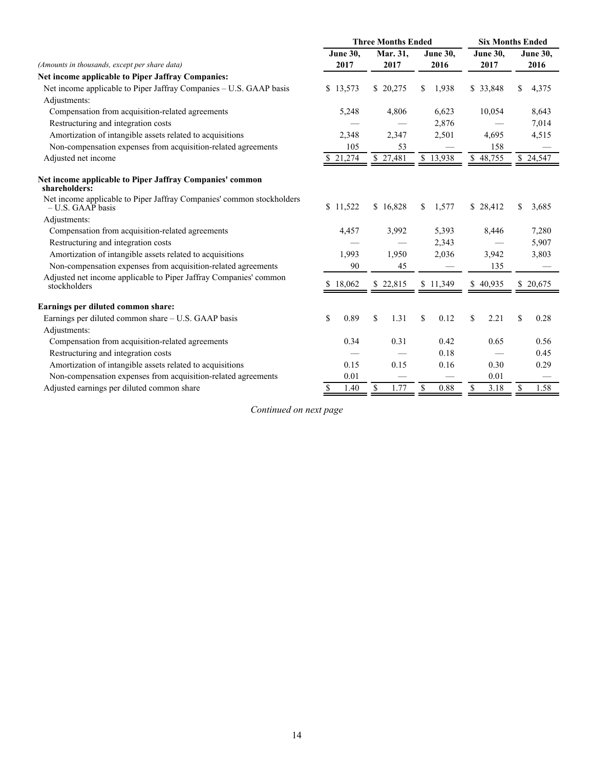|                                                                                              |              | <b>Three Months Ended</b> | <b>Six Months Ended</b> |                        |                         |  |
|----------------------------------------------------------------------------------------------|--------------|---------------------------|-------------------------|------------------------|-------------------------|--|
|                                                                                              | June 30,     | Mar. 31,                  | June 30,                | <b>June 30,</b>        | <b>June 30,</b><br>2016 |  |
| (Amounts in thousands, except per share data)                                                | 2017         | 2017                      | 2016                    | 2017                   |                         |  |
| Net income applicable to Piper Jaffray Companies:                                            |              |                           |                         |                        |                         |  |
| Net income applicable to Piper Jaffray Companies - U.S. GAAP basis                           | 13,573<br>\$ | \$20,275                  | 1,938<br>\$             | \$ 33,848              | \$<br>4,375             |  |
| Adjustments:                                                                                 |              |                           |                         |                        |                         |  |
| Compensation from acquisition-related agreements                                             | 5,248        | 4,806                     | 6,623                   | 10,054                 | 8,643                   |  |
| Restructuring and integration costs                                                          |              |                           | 2,876                   |                        | 7,014                   |  |
| Amortization of intangible assets related to acquisitions                                    | 2,348        | 2,347                     | 2,501                   | 4,695                  | 4,515                   |  |
| Non-compensation expenses from acquisition-related agreements                                | 105          | 53                        |                         | 158                    |                         |  |
| Adjusted net income                                                                          | 21,274       | \$27,481                  | \$13,938                | $\overline{\$}$ 48,755 | \$24,547                |  |
| Net income applicable to Piper Jaffray Companies' common<br>shareholders:                    |              |                           |                         |                        |                         |  |
| Net income applicable to Piper Jaffray Companies' common stockholders<br>$-$ U.S. GAAP basis | \$11,522     | \$16,828                  | \$<br>1,577             | \$28,412               | \$<br>3,685             |  |
| Adjustments:                                                                                 |              |                           |                         |                        |                         |  |
| Compensation from acquisition-related agreements                                             | 4,457        | 3,992                     | 5,393                   | 8,446                  | 7,280                   |  |
| Restructuring and integration costs                                                          |              |                           | 2,343                   |                        | 5,907                   |  |
| Amortization of intangible assets related to acquisitions                                    | 1,993        | 1,950                     | 2,036                   | 3,942                  | 3,803                   |  |
| Non-compensation expenses from acquisition-related agreements                                | 90           | 45                        |                         | 135                    |                         |  |
| Adjusted net income applicable to Piper Jaffray Companies' common<br>stockholders            | 18,062       | \$22,815                  | \$11,349                | \$40,935               | 20,675<br>S.            |  |
| Earnings per diluted common share:                                                           |              |                           |                         |                        |                         |  |
| Earnings per diluted common share - U.S. GAAP basis                                          | \$<br>0.89   | \$<br>1.31                | \$<br>0.12              | \$<br>2.21             | \$<br>0.28              |  |
| Adjustments:                                                                                 |              |                           |                         |                        |                         |  |
| Compensation from acquisition-related agreements                                             | 0.34         | 0.31                      | 0.42                    | 0.65                   | 0.56                    |  |
| Restructuring and integration costs                                                          |              |                           | 0.18                    |                        | 0.45                    |  |
| Amortization of intangible assets related to acquisitions                                    | 0.15         | 0.15                      | 0.16                    | 0.30                   | 0.29                    |  |
| Non-compensation expenses from acquisition-related agreements                                | 0.01         |                           |                         | 0.01                   |                         |  |
| Adjusted earnings per diluted common share                                                   | 1.40<br>\$   | 1.77<br>\$                | \$<br>0.88              | \$<br>3.18             | 1.58<br>\$              |  |

*Continued on next page*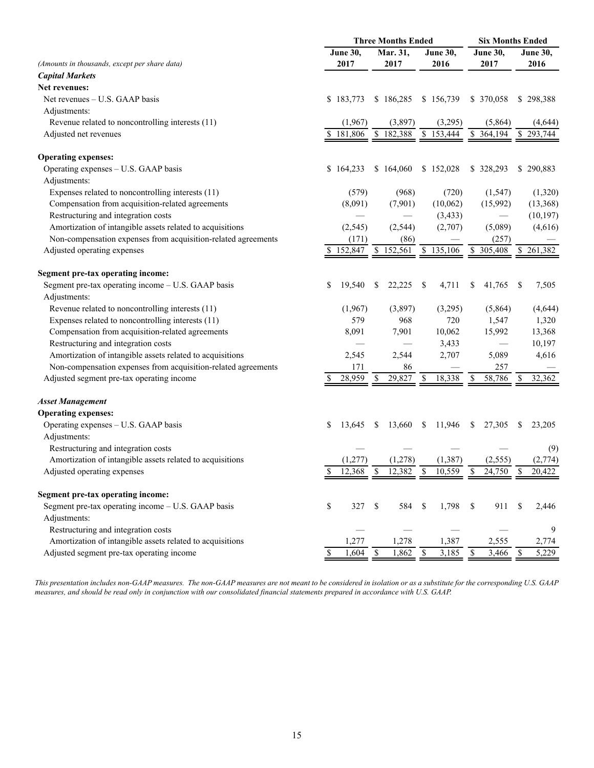|                                                               | <b>Three Months Ended</b> |                 |               |            |    |                 |     | <b>Six Months Ended</b> |               |                 |  |  |
|---------------------------------------------------------------|---------------------------|-----------------|---------------|------------|----|-----------------|-----|-------------------------|---------------|-----------------|--|--|
|                                                               |                           | <b>June 30,</b> | Mar. 31,      |            |    | <b>June 30,</b> |     | June 30,                |               | <b>June 30,</b> |  |  |
| (Amounts in thousands, except per share data)                 |                           | 2017            | 2017          |            |    | 2016            |     | 2017                    |               | 2016            |  |  |
| <b>Capital Markets</b>                                        |                           |                 |               |            |    |                 |     |                         |               |                 |  |  |
| Net revenues:                                                 |                           |                 |               |            |    |                 |     |                         |               |                 |  |  |
| Net revenues – U.S. GAAP basis                                |                           | \$183,773       | \$186,285     |            |    | \$156,739       |     | \$ 370,058              |               | \$298,388       |  |  |
| Adjustments:                                                  |                           |                 |               |            |    |                 |     |                         |               |                 |  |  |
| Revenue related to noncontrolling interests (11)              |                           | (1,967)         |               | (3,897)    |    | (3,295)         |     | (5,864)                 |               | (4,644)         |  |  |
| Adjusted net revenues                                         |                           | 181,806         | \$            | 182,388    | \$ | 153,444         | \$  | 364,194                 | S.            | 293,744         |  |  |
| <b>Operating expenses:</b>                                    |                           |                 |               |            |    |                 |     |                         |               |                 |  |  |
| Operating expenses - U.S. GAAP basis                          |                           | \$164,233       | \$164,060     |            |    | \$152,028       |     | \$328,293               |               | \$290,883       |  |  |
| Adjustments:                                                  |                           |                 |               |            |    |                 |     |                         |               |                 |  |  |
| Expenses related to noncontrolling interests (11)             |                           | (579)           |               | (968)      |    | (720)           |     | (1, 547)                |               | (1,320)         |  |  |
| Compensation from acquisition-related agreements              |                           | (8,091)         |               | (7,901)    |    | (10,062)        |     | (15,992)                |               | (13,368)        |  |  |
| Restructuring and integration costs                           |                           |                 |               |            |    | (3, 433)        |     |                         |               | (10, 197)       |  |  |
| Amortization of intangible assets related to acquisitions     |                           | (2, 545)        |               | (2, 544)   |    | (2,707)         |     | (5,089)                 |               | (4,616)         |  |  |
| Non-compensation expenses from acquisition-related agreements |                           | (171)           |               | (86)       |    |                 |     | (257)                   |               |                 |  |  |
| Adjusted operating expenses                                   |                           | 152,847         | \$            | 152,561    |    | \$135,106       |     | \$ 305,408              |               | \$261,382       |  |  |
| <b>Segment pre-tax operating income:</b>                      |                           |                 |               |            |    |                 |     |                         |               |                 |  |  |
| Segment pre-tax operating income - U.S. GAAP basis            | \$                        | 19,540          | S             | 22,225     | -S | 4,711           | S   | 41,765                  | -S            | 7,505           |  |  |
| Adjustments:                                                  |                           |                 |               |            |    |                 |     |                         |               |                 |  |  |
| Revenue related to noncontrolling interests (11)              |                           | (1,967)         |               | (3,897)    |    | (3,295)         |     | (5,864)                 |               | (4,644)         |  |  |
| Expenses related to noncontrolling interests (11)             |                           | 579             |               | 968        |    | 720             |     | 1,547                   |               | 1,320           |  |  |
| Compensation from acquisition-related agreements              |                           | 8,091           |               | 7,901      |    | 10,062          |     | 15,992                  |               | 13,368          |  |  |
| Restructuring and integration costs                           |                           |                 |               |            |    | 3,433           |     |                         |               | 10,197          |  |  |
| Amortization of intangible assets related to acquisitions     |                           | 2,545           |               | 2,544      |    | 2,707           |     | 5,089                   |               | 4,616           |  |  |
| Non-compensation expenses from acquisition-related agreements |                           | 171             |               | 86         |    |                 |     | 257                     |               |                 |  |  |
| Adjusted segment pre-tax operating income                     |                           | 28,959          |               | 29,827     | S  | 18,338          |     | 58,786                  |               | 32,362          |  |  |
| <b>Asset Management</b>                                       |                           |                 |               |            |    |                 |     |                         |               |                 |  |  |
| <b>Operating expenses:</b>                                    |                           |                 |               |            |    |                 |     |                         |               |                 |  |  |
| Operating expenses - U.S. GAAP basis                          | \$                        | 13,645          | -S            | 13,660     | \$ | 11,946          | S.  | 27,305                  | S             | 23,205          |  |  |
| Adjustments:                                                  |                           |                 |               |            |    |                 |     |                         |               |                 |  |  |
| Restructuring and integration costs                           |                           |                 |               |            |    |                 |     |                         |               | (9)             |  |  |
| Amortization of intangible assets related to acquisitions     |                           | (1,277)         |               | (1,278)    |    | (1, 387)        |     | (2, 555)                |               | (2,774)         |  |  |
| Adjusted operating expenses                                   |                           | 12,368          |               | 12,382     | \$ | 10,559          |     | 24,750 \$               |               | 20.422          |  |  |
| Segment pre-tax operating income:                             |                           |                 |               |            |    |                 |     |                         |               |                 |  |  |
| Segment pre-tax operating income - U.S. GAAP basis            | \$                        | 327             | <sup>\$</sup> | 584        | \$ | 1,798           | -\$ | 911                     | <sup>\$</sup> | 2,446           |  |  |
| Adjustments:                                                  |                           |                 |               |            |    |                 |     |                         |               |                 |  |  |
| Restructuring and integration costs                           |                           |                 |               |            |    |                 |     |                         |               | 9               |  |  |
| Amortization of intangible assets related to acquisitions     |                           | 1,277           |               | 1,278      |    | 1,387           |     | 2,555                   |               | 2,774           |  |  |
| Adjusted segment pre-tax operating income                     |                           | 1,604           | - \$          | $1,862$ \$ |    | 3,185           | -S  | $3,466$ \$              |               | 5,229           |  |  |

*This presentation includes non-GAAP measures. The non-GAAP measures are not meant to be considered in isolation or as a substitute for the corresponding U.S. GAAP measures, and should be read only in conjunction with our consolidated financial statements prepared in accordance with U.S. GAAP.*